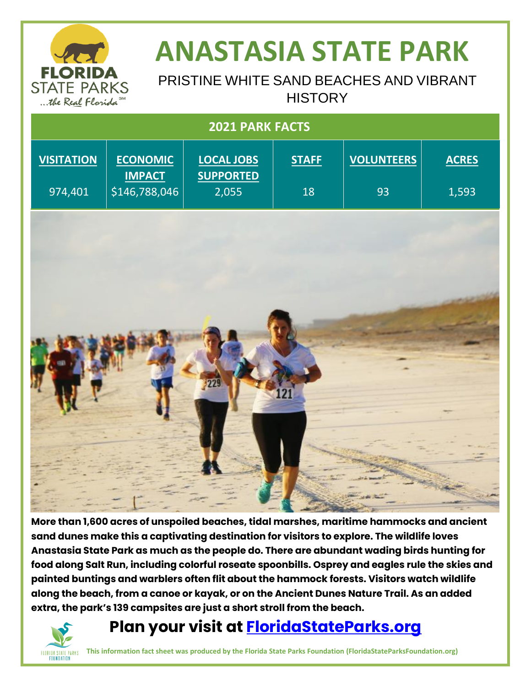

## **ANASTASIA STATE PARK**

### PRISTINE WHITE SAND BEACHES AND VIBRANT **HISTORY**

| 2021 PARK FACTS   |                                  |                                       |              |                         |              |
|-------------------|----------------------------------|---------------------------------------|--------------|-------------------------|--------------|
| <b>VISITATION</b> | <b>ECONOMIC</b><br><b>IMPACT</b> | <b>LOCAL JOBS</b><br><b>SUPPORTED</b> | <b>STAFF</b> | <b>VOLUNTEERS</b><br>93 | <b>ACRES</b> |
| 974,401           | \$146,788,046                    | 2,055                                 | 18           |                         | 1,593        |
|                   |                                  |                                       |              |                         |              |
|                   |                                  |                                       |              |                         |              |
|                   |                                  |                                       |              |                         |              |
|                   |                                  |                                       |              |                         |              |
|                   |                                  | 229                                   |              |                         |              |
|                   |                                  |                                       | 121          |                         |              |
|                   |                                  |                                       |              |                         |              |
|                   |                                  |                                       |              |                         |              |
|                   |                                  |                                       |              |                         |              |

**More than 1,600 acres of unspoiled beaches, tidal marshes, maritime hammocks and ancient sand dunes make this a captivating destination for visitors to explore. The wildlife loves Anastasia State Park as much as the people do. There are abundant wading birds hunting for food along Salt Run, including colorful roseate spoonbills. Osprey and eagles rule the skies and painted buntings and warblers often flit about the hammock forests. Visitors watch wildlife along the beach, from a canoe or kayak, or on the Ancient Dunes Nature Trail. As an added extra, the park's 139 campsites are just a short stroll from the beach.** 

### FLORIDA STATE PARKS **FOUNDATION**

### **Plan your visit at [FloridaStateParks.org](http://www.floridastateparks.org/)**

**This information fact sheet was produced by the Florida State Parks Foundation (FloridaStateParksFoundation.org)**